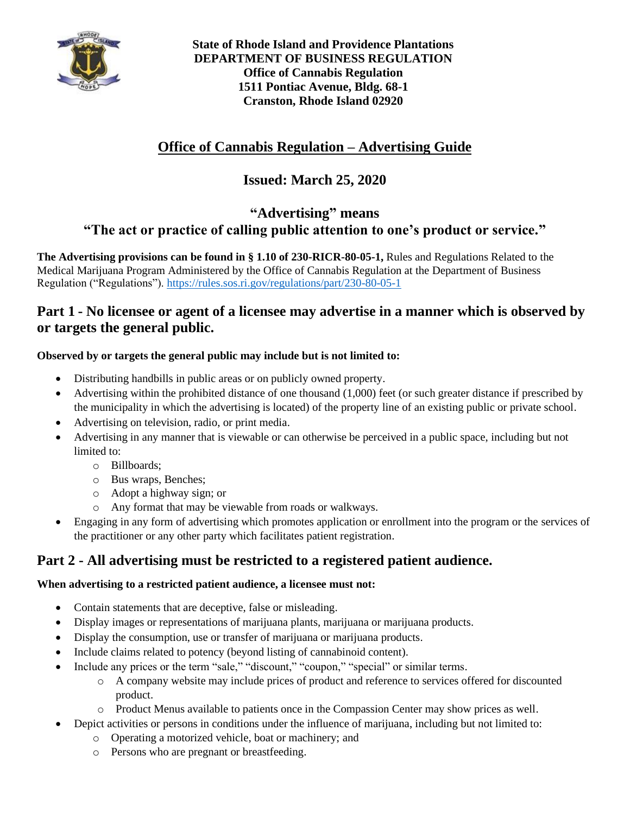

**State of Rhode Island and Providence Plantations DEPARTMENT OF BUSINESS REGULATION Office of Cannabis Regulation 1511 Pontiac Avenue, Bldg. 68-1 Cranston, Rhode Island 02920**

## **Office of Cannabis Regulation – Advertising Guide**

# **Issued: March 25, 2020**

### **"Advertising" means "The act or practice of calling public attention to one's product or service."**

**The Advertising provisions can be found in § 1.10 of 230-RICR-80-05-1,** Rules and Regulations Related to the Medical Marijuana Program Administered by the Office of Cannabis Regulation at the Department of Business Regulation ("Regulations"). <https://rules.sos.ri.gov/regulations/part/230-80-05-1>

#### **Part 1 - No licensee or agent of a licensee may advertise in a manner which is observed by or targets the general public.**

#### **Observed by or targets the general public may include but is not limited to:**

- Distributing handbills in public areas or on publicly owned property.
- Advertising within the prohibited distance of one thousand (1,000) feet (or such greater distance if prescribed by the municipality in which the advertising is located) of the property line of an existing public or private school.
- Advertising on television, radio, or print media.
- Advertising in any manner that is viewable or can otherwise be perceived in a public space, including but not limited to:
	- o Billboards;
	- o Bus wraps, Benches;
	- o Adopt a highway sign; or
	- o Any format that may be viewable from roads or walkways.
- Engaging in any form of advertising which promotes application or enrollment into the program or the services of the practitioner or any other party which facilitates patient registration.

## **Part 2 - All advertising must be restricted to a registered patient audience.**

#### **When advertising to a restricted patient audience, a licensee must not:**

- Contain statements that are deceptive, false or misleading.
- Display images or representations of marijuana plants, marijuana or marijuana products.
- Display the consumption, use or transfer of marijuana or marijuana products.
- Include claims related to potency (beyond listing of cannabinoid content).
- Include any prices or the term "sale," "discount," "coupon," "special" or similar terms.
	- o A company website may include prices of product and reference to services offered for discounted product.
	- o Product Menus available to patients once in the Compassion Center may show prices as well.
- Depict activities or persons in conditions under the influence of marijuana, including but not limited to:
	- o Operating a motorized vehicle, boat or machinery; and
	- o Persons who are pregnant or breastfeeding.